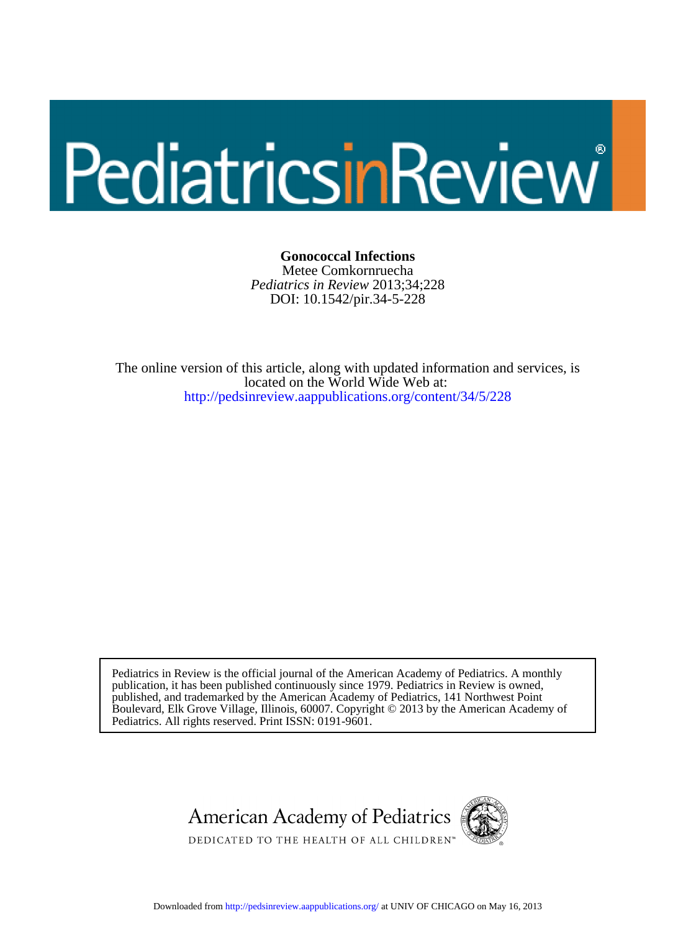# PediatricsinReview

DOI: 10.1542/pir.34-5-228 *Pediatrics in Review* 2013;34;228 Metee Comkornruecha **Gonococcal Infections**

<http://pedsinreview.aappublications.org/content/34/5/228> located on the World Wide Web at: The online version of this article, along with updated information and services, is

Pediatrics. All rights reserved. Print ISSN: 0191-9601. Boulevard, Elk Grove Village, Illinois, 60007. Copyright © 2013 by the American Academy of published, and trademarked by the American Academy of Pediatrics, 141 Northwest Point publication, it has been published continuously since 1979. Pediatrics in Review is owned, Pediatrics in Review is the official journal of the American Academy of Pediatrics. A monthly



Downloaded from<http://pedsinreview.aappublications.org/>at UNIV OF CHICAGO on May 16, 2013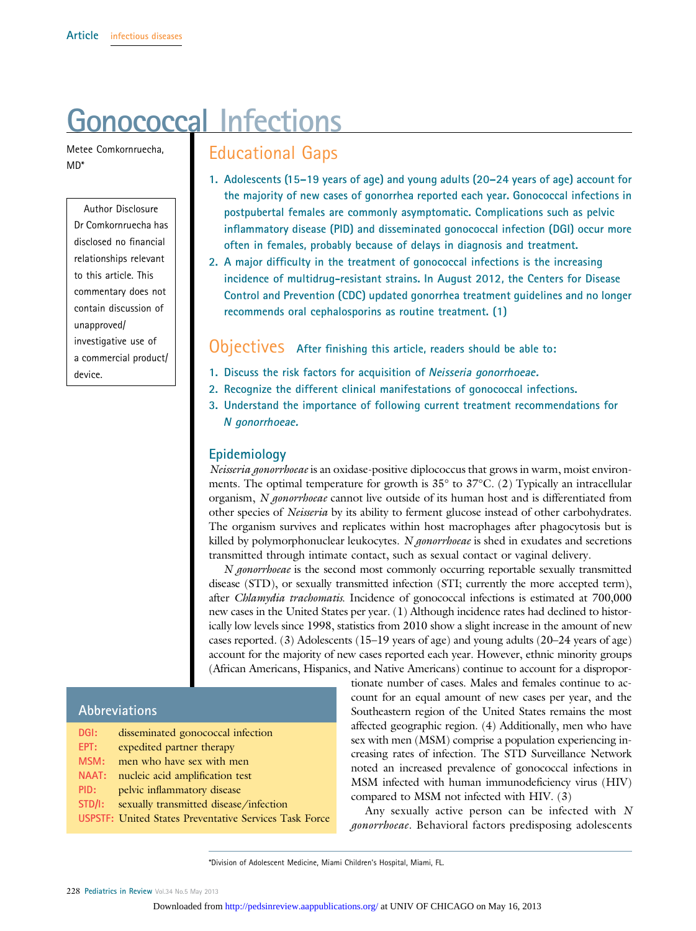# Gonococcal Infections

Metee Comkornruecha, MD\*

Author Disclosure Dr Comkornruecha has disclosed no financial relationships relevant to this article. This commentary does not contain discussion of unapproved/ investigative use of a commercial product/ device.

# Educational Gaps

- 1. Adolescents (15–19 years of age) and young adults (20–24 years of age) account for the majority of new cases of gonorrhea reported each year. Gonococcal infections in postpubertal females are commonly asymptomatic. Complications such as pelvic inflammatory disease (PID) and disseminated gonococcal infection (DGI) occur more often in females, probably because of delays in diagnosis and treatment.
- 2. A major difficulty in the treatment of gonococcal infections is the increasing incidence of multidrug-resistant strains. In August 2012, the Centers for Disease Control and Prevention (CDC) updated gonorrhea treatment guidelines and no longer recommends oral cephalosporins as routine treatment. (1)

## Objectives After finishing this article, readers should be able to:

- 1. Discuss the risk factors for acquisition of Neisseria gonorrhoeae.
- 2. Recognize the different clinical manifestations of gonococcal infections.
- 3. Understand the importance of following current treatment recommendations for N gonorrhoeae.

### Epidemiology

Neisseria gonorrhoeae is an oxidase-positive diplococcus that grows in warm, moist environments. The optimal temperature for growth is  $35^{\circ}$  to  $37^{\circ}$ C. (2) Typically an intracellular organism, N gonorrhoeae cannot live outside of its human host and is differentiated from other species of Neisseria by its ability to ferment glucose instead of other carbohydrates. The organism survives and replicates within host macrophages after phagocytosis but is killed by polymorphonuclear leukocytes.  $N$  gonorrhoeae is shed in exudates and secretions transmitted through intimate contact, such as sexual contact or vaginal delivery.

N gonorrhoeae is the second most commonly occurring reportable sexually transmitted disease (STD), or sexually transmitted infection (STI; currently the more accepted term), after *Chlamydia trachomatis*. Incidence of gonococcal infections is estimated at 700,000 new cases in the United States per year. (1) Although incidence rates had declined to historically low levels since 1998, statistics from 2010 show a slight increase in the amount of new cases reported. (3) Adolescents (15–19 years of age) and young adults (20–24 years of age) account for the majority of new cases reported each year. However, ethnic minority groups (African Americans, Hispanics, and Native Americans) continue to account for a dispropor-

### Abbreviations

| DGI:   | disseminated gonococcal infection                      |
|--------|--------------------------------------------------------|
| EPT:   | expedited partner therapy                              |
| MSM:   | men who have sex with men                              |
| NAAT:  | nucleic acid amplification test                        |
| PID:   | pelvic inflammatory disease                            |
| STD/I: | sexually transmitted disease/infection                 |
|        | USPSTF: United States Preventative Services Task Force |

tionate number of cases. Males and females continue to account for an equal amount of new cases per year, and the Southeastern region of the United States remains the most affected geographic region. (4) Additionally, men who have sex with men (MSM) comprise a population experiencing increasing rates of infection. The STD Surveillance Network noted an increased prevalence of gonococcal infections in MSM infected with human immunodeficiency virus (HIV) compared to MSM not infected with HIV. (3)

Any sexually active person can be infected with N gonorrhoeae. Behavioral factors predisposing adolescents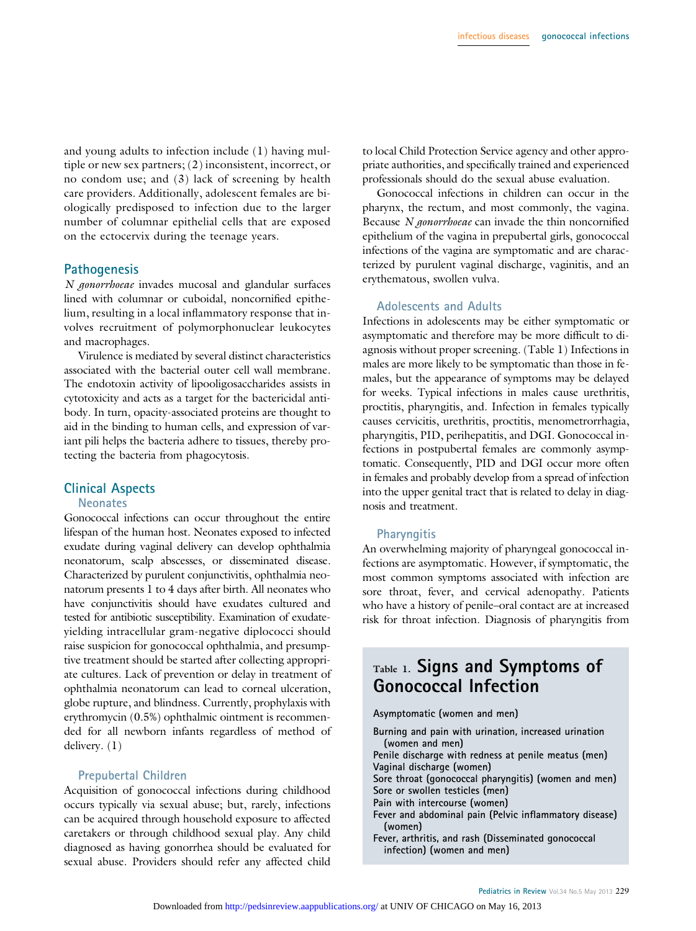and young adults to infection include (1) having multiple or new sex partners; (2) inconsistent, incorrect, or no condom use; and (3) lack of screening by health care providers. Additionally, adolescent females are biologically predisposed to infection due to the larger number of columnar epithelial cells that are exposed on the ectocervix during the teenage years.

### **Pathogenesis**

N gonorrhoeae invades mucosal and glandular surfaces lined with columnar or cuboidal, noncornified epithelium, resulting in a local inflammatory response that involves recruitment of polymorphonuclear leukocytes and macrophages.

Virulence is mediated by several distinct characteristics associated with the bacterial outer cell wall membrane. The endotoxin activity of lipooligosaccharides assists in cytotoxicity and acts as a target for the bactericidal antibody. In turn, opacity-associated proteins are thought to aid in the binding to human cells, and expression of variant pili helps the bacteria adhere to tissues, thereby protecting the bacteria from phagocytosis.

### Clinical Aspects

### **Neonates**

Gonococcal infections can occur throughout the entire lifespan of the human host. Neonates exposed to infected exudate during vaginal delivery can develop ophthalmia neonatorum, scalp abscesses, or disseminated disease. Characterized by purulent conjunctivitis, ophthalmia neonatorum presents 1 to 4 days after birth. All neonates who have conjunctivitis should have exudates cultured and tested for antibiotic susceptibility. Examination of exudateyielding intracellular gram-negative diplococci should raise suspicion for gonococcal ophthalmia, and presumptive treatment should be started after collecting appropriate cultures. Lack of prevention or delay in treatment of ophthalmia neonatorum can lead to corneal ulceration, globe rupture, and blindness. Currently, prophylaxis with erythromycin (0.5%) ophthalmic ointment is recommended for all newborn infants regardless of method of delivery. (1)

### Prepubertal Children

Acquisition of gonococcal infections during childhood occurs typically via sexual abuse; but, rarely, infections can be acquired through household exposure to affected caretakers or through childhood sexual play. Any child diagnosed as having gonorrhea should be evaluated for sexual abuse. Providers should refer any affected child to local Child Protection Service agency and other appropriate authorities, and specifically trained and experienced professionals should do the sexual abuse evaluation.

Gonococcal infections in children can occur in the pharynx, the rectum, and most commonly, the vagina. Because N gonorrhoeae can invade the thin noncornified epithelium of the vagina in prepubertal girls, gonococcal infections of the vagina are symptomatic and are characterized by purulent vaginal discharge, vaginitis, and an erythematous, swollen vulva.

### Adolescents and Adults

Infections in adolescents may be either symptomatic or asymptomatic and therefore may be more difficult to diagnosis without proper screening. (Table 1) Infections in males are more likely to be symptomatic than those in females, but the appearance of symptoms may be delayed for weeks. Typical infections in males cause urethritis, proctitis, pharyngitis, and. Infection in females typically causes cervicitis, urethritis, proctitis, menometrorrhagia, pharyngitis, PID, perihepatitis, and DGI. Gonococcal infections in postpubertal females are commonly asymptomatic. Consequently, PID and DGI occur more often in females and probably develop from a spread of infection into the upper genital tract that is related to delay in diagnosis and treatment.

### **Pharyngitis**

An overwhelming majority of pharyngeal gonococcal infections are asymptomatic. However, if symptomatic, the most common symptoms associated with infection are sore throat, fever, and cervical adenopathy. Patients who have a history of penile–oral contact are at increased risk for throat infection. Diagnosis of pharyngitis from

# Table 1. Signs and Symptoms of Gonococcal Infection

Asymptomatic (women and men)

- Burning and pain with urination, increased urination (women and men)
- Penile discharge with redness at penile meatus (men) Vaginal discharge (women)

Sore throat (gonococcal pharyngitis) (women and men) Sore or swollen testicles (men)

Pain with intercourse (women)

Fever and abdominal pain (Pelvic inflammatory disease) (women)

Fever, arthritis, and rash (Disseminated gonococcal infection) (women and men)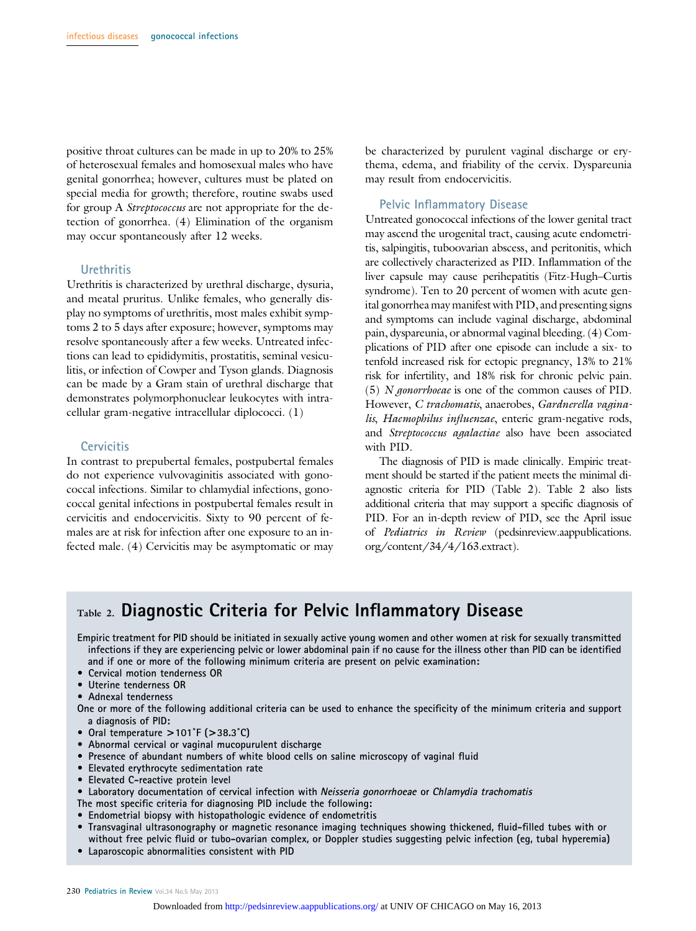positive throat cultures can be made in up to 20% to 25% of heterosexual females and homosexual males who have genital gonorrhea; however, cultures must be plated on special media for growth; therefore, routine swabs used for group A Streptococcus are not appropriate for the detection of gonorrhea. (4) Elimination of the organism may occur spontaneously after 12 weeks.

### **Urethritis**

Urethritis is characterized by urethral discharge, dysuria, and meatal pruritus. Unlike females, who generally display no symptoms of urethritis, most males exhibit symptoms 2 to 5 days after exposure; however, symptoms may resolve spontaneously after a few weeks. Untreated infections can lead to epididymitis, prostatitis, seminal vesiculitis, or infection of Cowper and Tyson glands. Diagnosis can be made by a Gram stain of urethral discharge that demonstrates polymorphonuclear leukocytes with intracellular gram-negative intracellular diplococci. (1)

### **Cervicitis**

In contrast to prepubertal females, postpubertal females do not experience vulvovaginitis associated with gonococcal infections. Similar to chlamydial infections, gonococcal genital infections in postpubertal females result in cervicitis and endocervicitis. Sixty to 90 percent of females are at risk for infection after one exposure to an infected male. (4) Cervicitis may be asymptomatic or may be characterized by purulent vaginal discharge or erythema, edema, and friability of the cervix. Dyspareunia may result from endocervicitis.

### Pelvic Inflammatory Disease

Untreated gonococcal infections of the lower genital tract may ascend the urogenital tract, causing acute endometritis, salpingitis, tuboovarian abscess, and peritonitis, which are collectively characterized as PID. Inflammation of the liver capsule may cause perihepatitis (Fitz-Hugh–Curtis syndrome). Ten to 20 percent of women with acute genital gonorrhea may manifest with PID, and presenting signs and symptoms can include vaginal discharge, abdominal pain, dyspareunia, or abnormal vaginal bleeding. (4) Complications of PID after one episode can include a six- to tenfold increased risk for ectopic pregnancy, 13% to 21% risk for infertility, and 18% risk for chronic pelvic pain. (5) N gonorrhoeae is one of the common causes of PID. However, C trachomatis, anaerobes, Gardnerella vaginalis, Haemophilus influenzae, enteric gram-negative rods, and Streptococcus agalactiae also have been associated with PID.

The diagnosis of PID is made clinically. Empiric treatment should be started if the patient meets the minimal diagnostic criteria for PID (Table 2). Table 2 also lists additional criteria that may support a specific diagnosis of PID. For an in-depth review of PID, see the April issue of Pediatrics in Review [\(pedsinreview.aappublications.](http://pedsinreview.aappublications.org/content/34/4/163.extract) [org/content/34/4/163.extract\)](http://pedsinreview.aappublications.org/content/34/4/163.extract).

# Table 2. Diagnostic Criteria for Pelvic Inflammatory Disease

Empiric treatment for PID should be initiated in sexually active young women and other women at risk for sexually transmitted infections if they are experiencing pelvic or lower abdominal pain if no cause for the illness other than PID can be identified and if one or more of the following minimum criteria are present on pelvic examination:

- Cervical motion tenderness OR
- Uterine tenderness OR
- 
- Adnexal tenderness
- One or more of the following additional criteria can be used to enhance the specificity of the minimum criteria and support a diagnosis of PID:
- Oral temperature >101˚F (>38.3˚C)
- Abnormal cervical or vaginal mucopurulent discharge
- Presence of abundant numbers of white blood cells on saline microscopy of vaginal fluid
- Elevated erythrocyte sedimentation rate
- Elevated C-reactive protein level
- Laboratory documentation of cervical infection with Neisseria gonorrhoeae or Chlamydia trachomatis The most specific criteria for diagnosing PID include the following:
- Endometrial biopsy with histopathologic evidence of endometritis
- Transvaginal ultrasonography or magnetic resonance imaging techniques showing thickened, fluid-filled tubes with or without free pelvic fluid or tubo-ovarian complex, or Doppler studies suggesting pelvic infection (eg, tubal hyperemia)
- Laparoscopic abnormalities consistent with PID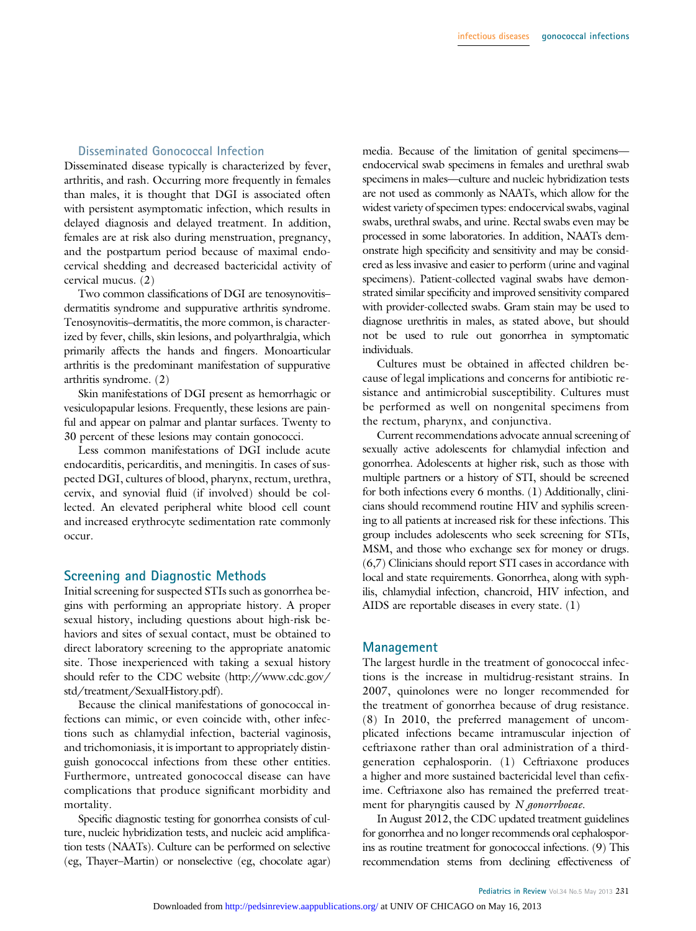### Disseminated Gonococcal Infection

Disseminated disease typically is characterized by fever, arthritis, and rash. Occurring more frequently in females than males, it is thought that DGI is associated often with persistent asymptomatic infection, which results in delayed diagnosis and delayed treatment. In addition, females are at risk also during menstruation, pregnancy, and the postpartum period because of maximal endocervical shedding and decreased bactericidal activity of cervical mucus. (2)

Two common classifications of DGI are tenosynovitis– dermatitis syndrome and suppurative arthritis syndrome. Tenosynovitis–dermatitis, the more common, is characterized by fever, chills, skin lesions, and polyarthralgia, which primarily affects the hands and fingers. Monoarticular arthritis is the predominant manifestation of suppurative arthritis syndrome. (2)

Skin manifestations of DGI present as hemorrhagic or vesiculopapular lesions. Frequently, these lesions are painful and appear on palmar and plantar surfaces. Twenty to 30 percent of these lesions may contain gonococci.

Less common manifestations of DGI include acute endocarditis, pericarditis, and meningitis. In cases of suspected DGI, cultures of blood, pharynx, rectum, urethra, cervix, and synovial fluid (if involved) should be collected. An elevated peripheral white blood cell count and increased erythrocyte sedimentation rate commonly occur.

### Screening and Diagnostic Methods

Initial screening for suspected STIs such as gonorrhea begins with performing an appropriate history. A proper sexual history, including questions about high-risk behaviors and sites of sexual contact, must be obtained to direct laboratory screening to the appropriate anatomic site. Those inexperienced with taking a sexual history should refer to the CDC website [\(http://www.cdc.gov/](http://www.cdc.gov/std/treatment/SexualHistory.pdf) [std/treatment/SexualHistory.pdf\)](http://www.cdc.gov/std/treatment/SexualHistory.pdf).

Because the clinical manifestations of gonococcal infections can mimic, or even coincide with, other infections such as chlamydial infection, bacterial vaginosis, and trichomoniasis, it is important to appropriately distinguish gonococcal infections from these other entities. Furthermore, untreated gonococcal disease can have complications that produce significant morbidity and mortality.

Specific diagnostic testing for gonorrhea consists of culture, nucleic hybridization tests, and nucleic acid amplification tests (NAATs). Culture can be performed on selective (eg, Thayer–Martin) or nonselective (eg, chocolate agar) media. Because of the limitation of genital specimens endocervical swab specimens in females and urethral swab specimens in males—culture and nucleic hybridization tests are not used as commonly as NAATs, which allow for the widest variety of specimen types: endocervical swabs, vaginal swabs, urethral swabs, and urine. Rectal swabs even may be processed in some laboratories. In addition, NAATs demonstrate high specificity and sensitivity and may be considered as less invasive and easier to perform (urine and vaginal specimens). Patient-collected vaginal swabs have demonstrated similar specificity and improved sensitivity compared with provider-collected swabs. Gram stain may be used to diagnose urethritis in males, as stated above, but should not be used to rule out gonorrhea in symptomatic individuals.

Cultures must be obtained in affected children because of legal implications and concerns for antibiotic resistance and antimicrobial susceptibility. Cultures must be performed as well on nongenital specimens from the rectum, pharynx, and conjunctiva.

Current recommendations advocate annual screening of sexually active adolescents for chlamydial infection and gonorrhea. Adolescents at higher risk, such as those with multiple partners or a history of STI, should be screened for both infections every 6 months. (1) Additionally, clinicians should recommend routine HIV and syphilis screening to all patients at increased risk for these infections. This group includes adolescents who seek screening for STIs, MSM, and those who exchange sex for money or drugs. (6,7) Clinicians should report STI cases in accordance with local and state requirements. Gonorrhea, along with syphilis, chlamydial infection, chancroid, HIV infection, and AIDS are reportable diseases in every state. (1)

### Management

The largest hurdle in the treatment of gonococcal infections is the increase in multidrug-resistant strains. In 2007, quinolones were no longer recommended for the treatment of gonorrhea because of drug resistance. (8) In 2010, the preferred management of uncomplicated infections became intramuscular injection of ceftriaxone rather than oral administration of a thirdgeneration cephalosporin. (1) Ceftriaxone produces a higher and more sustained bactericidal level than cefixime. Ceftriaxone also has remained the preferred treatment for pharyngitis caused by N gonorrhoeae.

In August 2012, the CDC updated treatment guidelines for gonorrhea and no longer recommends oral cephalosporins as routine treatment for gonococcal infections. (9) This recommendation stems from declining effectiveness of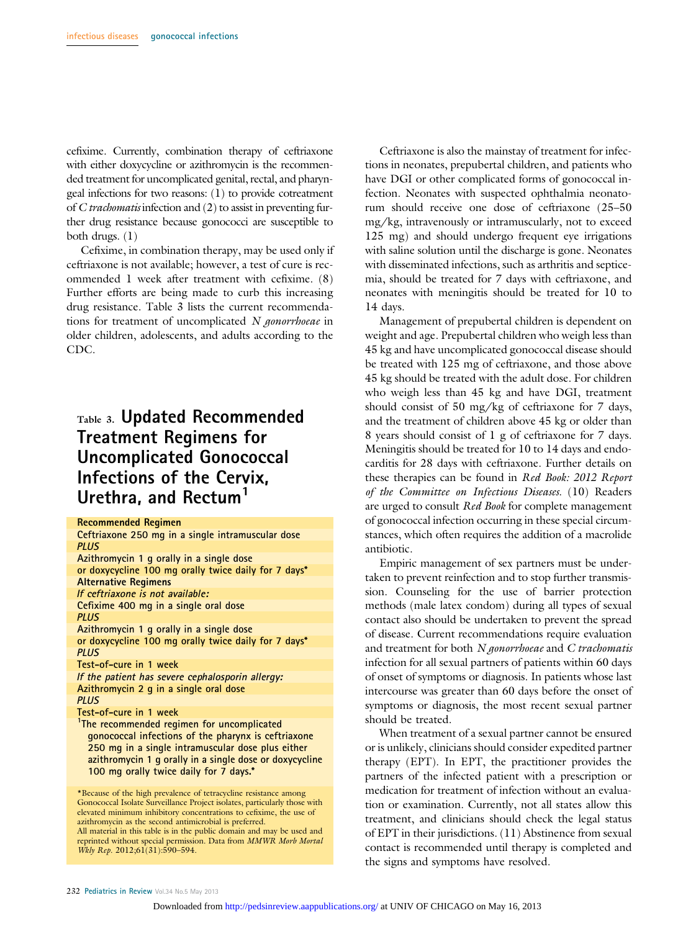cefixime. Currently, combination therapy of ceftriaxone with either doxycycline or azithromycin is the recommended treatment for uncomplicated genital, rectal, and pharyngeal infections for two reasons: (1) to provide cotreatment of C trachomatis infection and  $(2)$  to assist in preventing further drug resistance because gonococci are susceptible to both drugs. (1)

Cefixime, in combination therapy, may be used only if ceftriaxone is not available; however, a test of cure is recommended 1 week after treatment with cefixime. (8) Further efforts are being made to curb this increasing drug resistance. Table 3 lists the current recommendations for treatment of uncomplicated N gonorrhoeae in older children, adolescents, and adults according to the CDC.

# Table 3. Updated Recommended Treatment Regimens for Uncomplicated Gonococcal Infections of the Cervix, Urethra, and Rectum<sup>1</sup>

Recommended Regimen

Ceftriaxone 250 mg in a single intramuscular dose PLUS Azithromycin 1 g orally in a single dose or doxycycline 100 mg orally twice daily for 7 days\* Alternative Regimens If ceftriaxone is not available: Cefixime 400 mg in a single oral dose PLUS Azithromycin 1 g orally in a single dose or doxycycline 100 mg orally twice daily for 7 days\* PLUS Test-of-cure in 1 week If the patient has severe cephalosporin allergy: Azithromycin 2 g in a single oral dose PLUS Test-of-cure in 1 week <sup>1</sup>The recommended regimen for uncomplicated gonococcal infections of the pharynx is ceftriaxone 250 mg in a single intramuscular dose plus either azithromycin 1 g orally in a single dose or doxycycline 100 mg orally twice daily for 7 days.\* \*Because of the high prevalence of tetracycline resistance among

Gonococcal Isolate Surveillance Project isolates, particularly those with elevated minimum inhibitory concentrations to cefixime, the use of azithromycin as the second antimicrobial is preferred. All material in this table is in the public domain and may be used and reprinted without special permission. Data from MMWR Morb Mortal Wkly Rep. 2012;61(31):590-594.

Ceftriaxone is also the mainstay of treatment for infections in neonates, prepubertal children, and patients who have DGI or other complicated forms of gonococcal infection. Neonates with suspected ophthalmia neonatorum should receive one dose of ceftriaxone (25–50 mg/kg, intravenously or intramuscularly, not to exceed 125 mg) and should undergo frequent eye irrigations with saline solution until the discharge is gone. Neonates with disseminated infections, such as arthritis and septicemia, should be treated for 7 days with ceftriaxone, and neonates with meningitis should be treated for 10 to 14 days.

Management of prepubertal children is dependent on weight and age. Prepubertal children who weigh less than 45 kg and have uncomplicated gonococcal disease should be treated with 125 mg of ceftriaxone, and those above 45 kg should be treated with the adult dose. For children who weigh less than 45 kg and have DGI, treatment should consist of 50 mg/kg of ceftriaxone for 7 days, and the treatment of children above 45 kg or older than 8 years should consist of 1 g of ceftriaxone for 7 days. Meningitis should be treated for 10 to 14 days and endocarditis for 28 days with ceftriaxone. Further details on these therapies can be found in Red Book: 2012 Report of the Committee on Infectious Diseases. (10) Readers are urged to consult Red Book for complete management of gonococcal infection occurring in these special circumstances, which often requires the addition of a macrolide antibiotic.

Empiric management of sex partners must be undertaken to prevent reinfection and to stop further transmission. Counseling for the use of barrier protection methods (male latex condom) during all types of sexual contact also should be undertaken to prevent the spread of disease. Current recommendations require evaluation and treatment for both  $N$  gonorrhoeae and  $C$  trachomatis infection for all sexual partners of patients within 60 days of onset of symptoms or diagnosis. In patients whose last intercourse was greater than 60 days before the onset of symptoms or diagnosis, the most recent sexual partner should be treated.

When treatment of a sexual partner cannot be ensured or is unlikely, clinicians should consider expedited partner therapy (EPT). In EPT, the practitioner provides the partners of the infected patient with a prescription or medication for treatment of infection without an evaluation or examination. Currently, not all states allow this treatment, and clinicians should check the legal status of EPT in their jurisdictions. (11) Abstinence from sexual contact is recommended until therapy is completed and the signs and symptoms have resolved.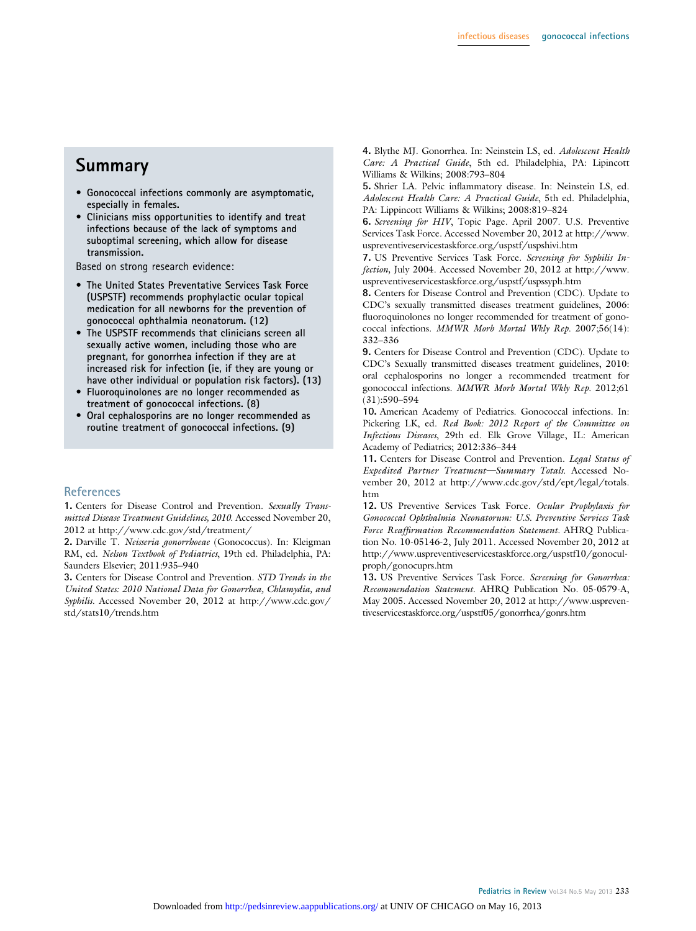# Summary

- Gonococcal infections commonly are asymptomatic, especially in females.
- Clinicians miss opportunities to identify and treat infections because of the lack of symptoms and suboptimal screening, which allow for disease transmission.

Based on strong research evidence:

- The United States Preventative Services Task Force (USPSTF) recommends prophylactic ocular topical medication for all newborns for the prevention of gonococcal ophthalmia neonatorum. (12)
- The USPSTF recommends that clinicians screen all sexually active women, including those who are pregnant, for gonorrhea infection if they are at increased risk for infection (ie, if they are young or have other individual or population risk factors). (13)
- Fluoroquinolones are no longer recommended as treatment of gonococcal infections. (8)
- Oral cephalosporins are no longer recommended as routine treatment of gonococcal infections. (9)

### References

1. Centers for Disease Control and Prevention. Sexually Transmitted Disease Treatment Guidelines, 2010. Accessed November 20, 2012 at<http://www.cdc.gov/std/treatment/>

2. Darville T. Neisseria gonorrhoeae (Gonococcus). In: Kleigman RM, ed. Nelson Textbook of Pediatrics, 19th ed. Philadelphia, PA: Saunders Elsevier; 2011:935–940

3. Centers for Disease Control and Prevention. STD Trends in the United States: 2010 National Data for Gonorrhea, Chlamydia, and Syphilis. Accessed November 20, 2012 at [http://www.cdc.gov/](http://www.cdc.gov/std/stats10/trends.htm) [std/stats10/trends.htm](http://www.cdc.gov/std/stats10/trends.htm)

4. Blythe MJ. Gonorrhea. In: Neinstein LS, ed. Adolescent Health Care: A Practical Guide, 5th ed. Philadelphia, PA: Lipincott Williams & Wilkins; 2008:793–804

5. Shrier LA. Pelvic inflammatory disease. In: Neinstein LS, ed. Adolescent Health Care: A Practical Guide, 5th ed. Philadelphia, PA: Lippincott Williams & Wilkins; 2008:819–824

6. Screening for HIV, Topic Page. April 2007. U.S. Preventive Services Task Force. Accessed November 20, 2012 at [http://www.](http://www.uspreventiveservicestaskforce.org/uspstf/uspshivi.htm) [uspreventiveservicestaskforce.org/uspstf/uspshivi.htm](http://www.uspreventiveservicestaskforce.org/uspstf/uspshivi.htm)

7. US Preventive Services Task Force. Screening for Syphilis Infection, July 2004. Accessed November 20, 2012 at [http://www.](http://www.uspreventiveservicestaskforce.org/uspstf/uspssyph.htm) [uspreventiveservicestaskforce.org/uspstf/uspssyph.htm](http://www.uspreventiveservicestaskforce.org/uspstf/uspssyph.htm)

8. Centers for Disease Control and Prevention (CDC). Update to CDC's sexually transmitted diseases treatment guidelines, 2006: fluoroquinolones no longer recommended for treatment of gonococcal infections. MMWR Morb Mortal Wkly Rep. 2007;56(14): 332–336

9. Centers for Disease Control and Prevention (CDC). Update to CDC's Sexually transmitted diseases treatment guidelines, 2010: oral cephalosporins no longer a recommended treatment for gonococcal infections. MMWR Morb Mortal Wkly Rep. 2012;61 (31):590–594

10. American Academy of Pediatrics. Gonococcal infections. In: Pickering LK, ed. Red Book: 2012 Report of the Committee on Infectious Diseases, 29th ed. Elk Grove Village, IL: American Academy of Pediatrics; 2012:336–344

11. Centers for Disease Control and Prevention. Legal Status of Expedited Partner Treatment—Summary Totals. Accessed November 20, 2012 at [http://www.cdc.gov/std/ept/legal/totals.](http://www.cdc.gov/std/ept/legal/totals.htm) [htm](http://www.cdc.gov/std/ept/legal/totals.htm)

12. US Preventive Services Task Force. Ocular Prophylaxis for Gonococcal Ophthalmia Neonatorum: U.S. Preventive Services Task Force Reaffirmation Recommendation Statement. AHRQ Publication No. 10-05146-2, July 2011. Accessed November 20, 2012 at [http://www.uspreventiveservicestaskforce.org/uspstf10/gonocul](http://www.uspreventiveservicestaskforce.org/uspstf10/gonoculproph/gonocuprs.htm)[proph/gonocuprs.htm](http://www.uspreventiveservicestaskforce.org/uspstf10/gonoculproph/gonocuprs.htm)

13. US Preventive Services Task Force. Screening for Gonorrhea: Recommendation Statement. AHRQ Publication No. 05-0579-A, May 2005. Accessed November 20, 2012 at [http://www.uspreven](http://www.uspreventiveservicestaskforce.org/uspstf05/gonorrhea/gonrs.htm)[tiveservicestaskforce.org/uspstf05/gonorrhea/gonrs.htm](http://www.uspreventiveservicestaskforce.org/uspstf05/gonorrhea/gonrs.htm)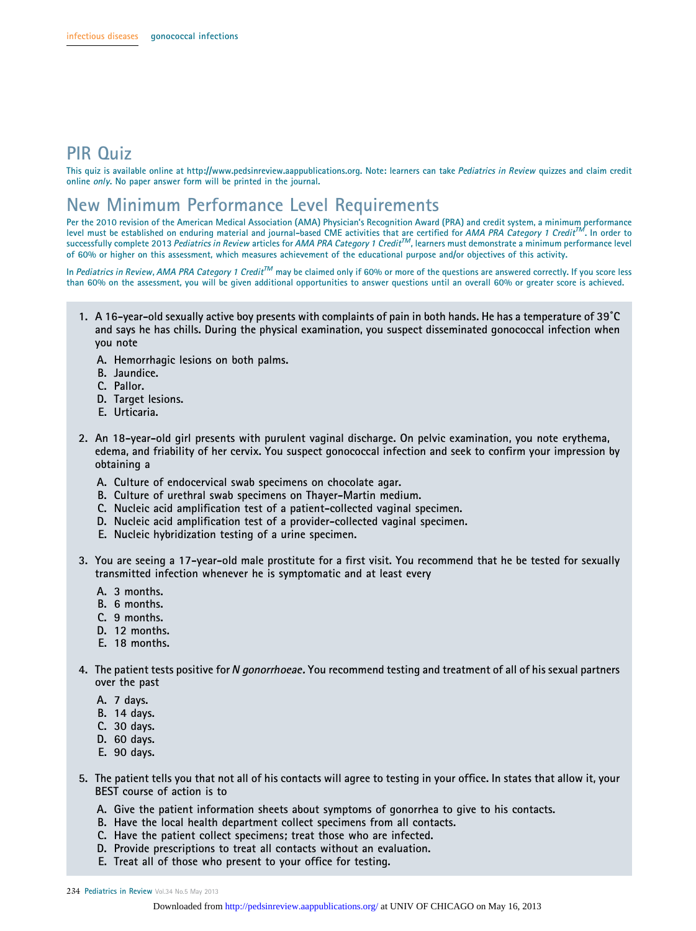# PIR Quiz

This quiz is available online at [http://www.pedsinreview.aappublications.org.](http://www.pedsinreview.aappublications.org) Note: learners can take Pediatrics in Review quizzes and claim credit online only. No paper answer form will be printed in the journal.

# New Minimum Performance Level Requirements

Per the 2010 revision of the American Medical Association (AMA) Physician's Recognition Award (PRA) and credit system, a minimum performance level must be established on enduring material and journal-based CME activities that are certified for AMA PRA Category 1 Credit<sup>TM</sup>. In order to successfully complete 2013 *Pediatrics in Review* articles for *AMA PRA Category 1 Credit<sup>TM</sup>*, learners must demonstrate a minimum performance level of 60% or higher on this assessment, which measures achievement of the educational purpose and/or objectives of this activity.

In Pediatrics in Review, AMA PRA Category 1 Credit<sup>TM</sup> may be claimed only if 60% or more of the questions are answered correctly. If you score less than 60% on the assessment, you will be given additional opportunities to answer questions until an overall 60% or greater score is achieved.

- 1. A 16-year-old sexually active boy presents with complaints of pain in both hands. He has a temperature of 39˚C and says he has chills. During the physical examination, you suspect disseminated gonococcal infection when you note
	- A. Hemorrhagic lesions on both palms.
	- B. Jaundice.
	- C. Pallor.
	- D. Target lesions.
	- E. Urticaria.
- 2. An 18-year-old girl presents with purulent vaginal discharge. On pelvic examination, you note erythema, edema, and friability of her cervix. You suspect gonococcal infection and seek to confirm your impression by obtaining a
	- A. Culture of endocervical swab specimens on chocolate agar.
	- B. Culture of urethral swab specimens on Thayer-Martin medium.
	- C. Nucleic acid amplification test of a patient-collected vaginal specimen.
	- D. Nucleic acid amplification test of a provider-collected vaginal specimen.
	- E. Nucleic hybridization testing of a urine specimen.
- 3. You are seeing a 17-year-old male prostitute for a first visit. You recommend that he be tested for sexually transmitted infection whenever he is symptomatic and at least every
	- A. 3 months.
	- B. 6 months.
	- C. 9 months.
	- D. 12 months.
	- E. 18 months.
- 4. The patient tests positive for N *gonorrhoeae.* You recommend testing and treatment of all of his sexual partners over the past
	- A. 7 days.
	- B. 14 days.
	- C. 30 days.
	- D. 60 days.
	- E. 90 days.
- 5. The patient tells you that not all of his contacts will agree to testing in your office. In states that allow it, your BEST course of action is to
	- A. Give the patient information sheets about symptoms of gonorrhea to give to his contacts.
	- B. Have the local health department collect specimens from all contacts.
	- C. Have the patient collect specimens; treat those who are infected.
	- D. Provide prescriptions to treat all contacts without an evaluation.
	- E. Treat all of those who present to your office for testing.